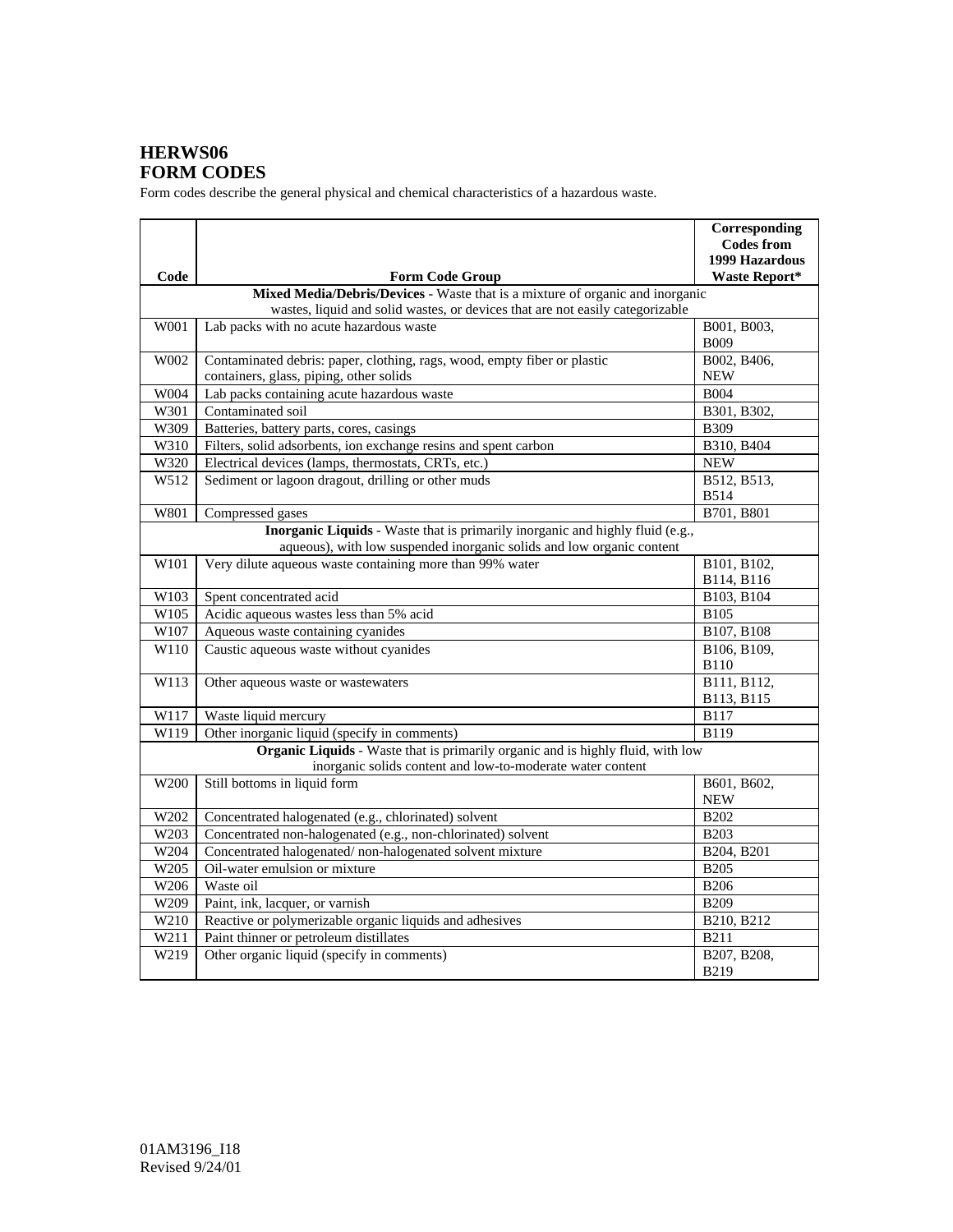## **HERWS06 FORM CODES**

Form codes describe the general physical and chemical characteristics of a hazardous waste.

| Code             | <b>Form Code Group</b>                                                                                                                                        | Corresponding<br><b>Codes from</b><br>1999 Hazardous<br><b>Waste Report*</b> |
|------------------|---------------------------------------------------------------------------------------------------------------------------------------------------------------|------------------------------------------------------------------------------|
|                  | Mixed Media/Debris/Devices - Waste that is a mixture of organic and inorganic                                                                                 |                                                                              |
|                  | wastes, liquid and solid wastes, or devices that are not easily categorizable                                                                                 |                                                                              |
| W001             | Lab packs with no acute hazardous waste                                                                                                                       | B001, B003,<br><b>B009</b>                                                   |
| W002             | Contaminated debris: paper, clothing, rags, wood, empty fiber or plastic<br>containers, glass, piping, other solids                                           | B002, B406,<br><b>NEW</b>                                                    |
| W004             | Lab packs containing acute hazardous waste                                                                                                                    | <b>B004</b>                                                                  |
| W301             | Contaminated soil                                                                                                                                             | B301, B302,                                                                  |
| W309             | Batteries, battery parts, cores, casings                                                                                                                      | <b>B309</b>                                                                  |
| W310             | Filters, solid adsorbents, ion exchange resins and spent carbon                                                                                               | B310, B404                                                                   |
| W320             | Electrical devices (lamps, thermostats, CRTs, etc.)                                                                                                           | <b>NEW</b>                                                                   |
| W512             | Sediment or lagoon dragout, drilling or other muds                                                                                                            | B512, B513,<br><b>B514</b>                                                   |
| W801             | Compressed gases                                                                                                                                              | B701, B801                                                                   |
|                  | <b>Inorganic Liquids</b> - Waste that is primarily inorganic and highly fluid (e.g.,<br>aqueous), with low suspended inorganic solids and low organic content |                                                                              |
| W101             | Very dilute aqueous waste containing more than 99% water                                                                                                      | B101, B102,<br>B114, B116                                                    |
| W103             | Spent concentrated acid                                                                                                                                       | B103, B104                                                                   |
| W105             | Acidic aqueous wastes less than 5% acid                                                                                                                       | <b>B105</b>                                                                  |
| W107             | Aqueous waste containing cyanides                                                                                                                             | B107, B108                                                                   |
| W110             | Caustic aqueous waste without cyanides                                                                                                                        | B106, B109,<br><b>B110</b>                                                   |
| W113             | Other aqueous waste or wastewaters                                                                                                                            | B111, B112,<br>B113, B115                                                    |
| W117             | Waste liquid mercury                                                                                                                                          | <b>B117</b>                                                                  |
| W119             | Other inorganic liquid (specify in comments)                                                                                                                  | <b>B119</b>                                                                  |
|                  | Organic Liquids - Waste that is primarily organic and is highly fluid, with low<br>inorganic solids content and low-to-moderate water content                 |                                                                              |
| W <sub>200</sub> | Still bottoms in liquid form                                                                                                                                  | B601, B602,<br><b>NEW</b>                                                    |
| W202             | Concentrated halogenated (e.g., chlorinated) solvent                                                                                                          | <b>B202</b>                                                                  |
| W203             | Concentrated non-halogenated (e.g., non-chlorinated) solvent                                                                                                  | <b>B203</b>                                                                  |
| W204             | Concentrated halogenated/non-halogenated solvent mixture                                                                                                      | B204, B201                                                                   |
| W205             | Oil-water emulsion or mixture                                                                                                                                 | <b>B205</b>                                                                  |
| W206             | Waste oil                                                                                                                                                     | <b>B206</b>                                                                  |
| W209             | Paint, ink, lacquer, or varnish                                                                                                                               | <b>B209</b>                                                                  |
| W210             | Reactive or polymerizable organic liquids and adhesives                                                                                                       | B210, B212                                                                   |
| W211             | Paint thinner or petroleum distillates                                                                                                                        | <b>B211</b>                                                                  |
| W219             | Other organic liquid (specify in comments)                                                                                                                    | B207, B208,<br><b>B219</b>                                                   |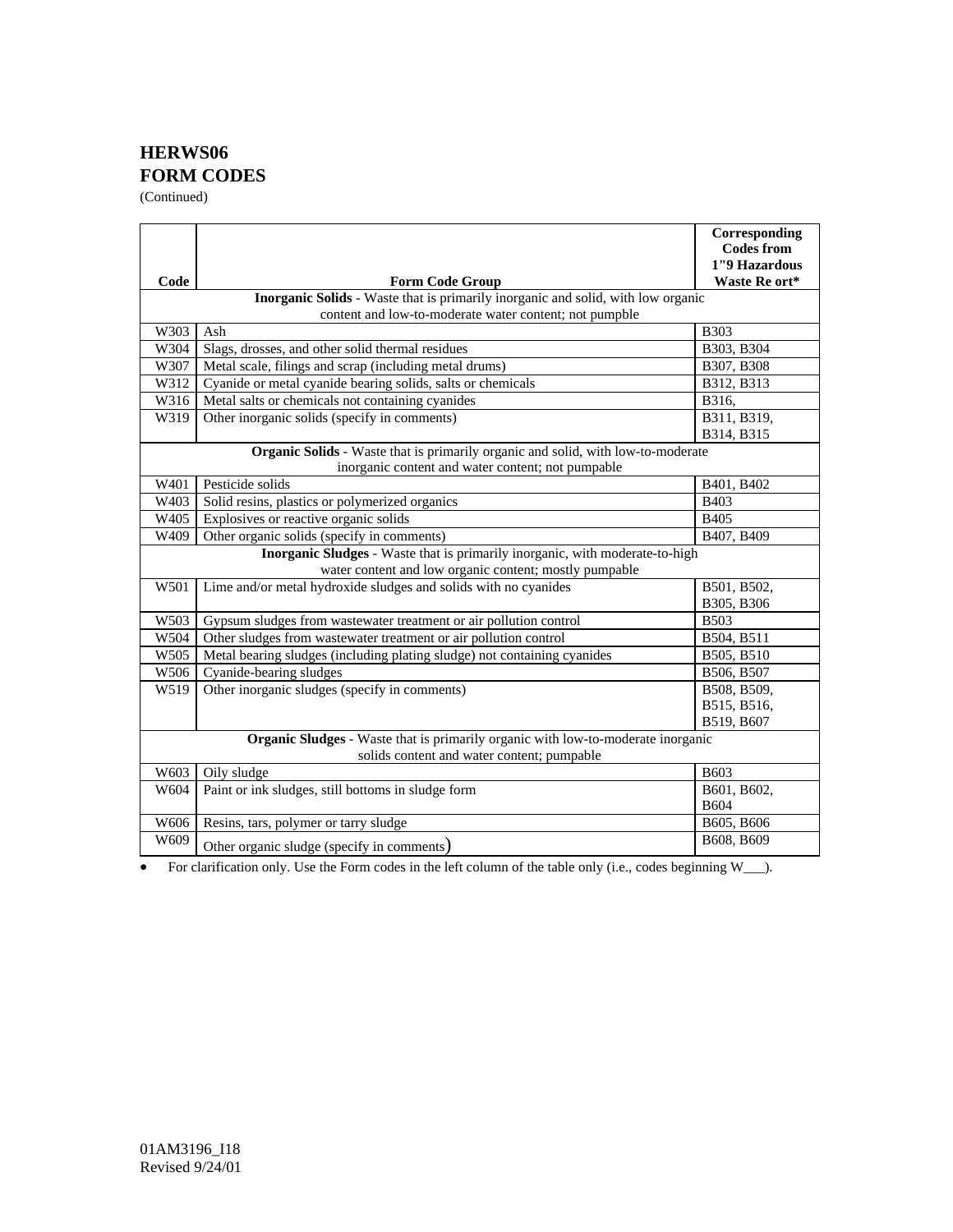## **HERWS06 FORM CODES**

(Continued)

|                                                                                                                                            |                                                                          | Corresponding     |  |  |
|--------------------------------------------------------------------------------------------------------------------------------------------|--------------------------------------------------------------------------|-------------------|--|--|
|                                                                                                                                            |                                                                          | <b>Codes from</b> |  |  |
|                                                                                                                                            |                                                                          | 1"9 Hazardous     |  |  |
| Code                                                                                                                                       | <b>Form Code Group</b>                                                   | Waste Re ort*     |  |  |
| Inorganic Solids - Waste that is primarily inorganic and solid, with low organic<br>content and low-to-moderate water content; not pumpble |                                                                          |                   |  |  |
| W303                                                                                                                                       | Ash                                                                      | <b>B303</b>       |  |  |
| W304                                                                                                                                       | Slags, drosses, and other solid thermal residues                         | B303, B304        |  |  |
| W307                                                                                                                                       | Metal scale, filings and scrap (including metal drums)                   | B307, B308        |  |  |
| W312                                                                                                                                       | Cyanide or metal cyanide bearing solids, salts or chemicals              | B312, B313        |  |  |
| W316                                                                                                                                       | Metal salts or chemicals not containing cyanides                         | B316,             |  |  |
| W319                                                                                                                                       | Other inorganic solids (specify in comments)                             | B311, B319,       |  |  |
|                                                                                                                                            |                                                                          | B314, B315        |  |  |
| Organic Solids - Waste that is primarily organic and solid, with low-to-moderate                                                           |                                                                          |                   |  |  |
| inorganic content and water content; not pumpable                                                                                          |                                                                          |                   |  |  |
| W401                                                                                                                                       | Pesticide solids                                                         | B401, B402        |  |  |
| W403                                                                                                                                       | Solid resins, plastics or polymerized organics                           | <b>B403</b>       |  |  |
| W405                                                                                                                                       | Explosives or reactive organic solids                                    | <b>B405</b>       |  |  |
| W409                                                                                                                                       | Other organic solids (specify in comments)                               | B407, B409        |  |  |
| Inorganic Sludges - Waste that is primarily inorganic, with moderate-to-high                                                               |                                                                          |                   |  |  |
| water content and low organic content; mostly pumpable                                                                                     |                                                                          |                   |  |  |
| W501                                                                                                                                       | Lime and/or metal hydroxide sludges and solids with no cyanides          | B501, B502,       |  |  |
|                                                                                                                                            |                                                                          | B305, B306        |  |  |
| W503                                                                                                                                       | Gypsum sludges from wastewater treatment or air pollution control        | <b>B503</b>       |  |  |
| W504                                                                                                                                       | Other sludges from wastewater treatment or air pollution control         | B504, B511        |  |  |
| W505                                                                                                                                       | Metal bearing sludges (including plating sludge) not containing cyanides | B505, B510        |  |  |
| W506                                                                                                                                       | Cyanide-bearing sludges                                                  | B506, B507        |  |  |
| W519                                                                                                                                       | Other inorganic sludges (specify in comments)                            | B508, B509,       |  |  |
|                                                                                                                                            |                                                                          | B515, B516,       |  |  |
|                                                                                                                                            |                                                                          | B519, B607        |  |  |
| Organic Sludges - Waste that is primarily organic with low-to-moderate inorganic                                                           |                                                                          |                   |  |  |
| solids content and water content; pumpable                                                                                                 |                                                                          |                   |  |  |
| W603                                                                                                                                       | Oily sludge                                                              | <b>B603</b>       |  |  |
| W604                                                                                                                                       | Paint or ink sludges, still bottoms in sludge form                       | B601, B602,       |  |  |
|                                                                                                                                            |                                                                          | <b>B604</b>       |  |  |
| W606                                                                                                                                       | Resins, tars, polymer or tarry sludge                                    | B605, B606        |  |  |
| W609                                                                                                                                       | Other organic sludge (specify in comments)                               | B608, B609        |  |  |

• For clarification only. Use the Form codes in the left column of the table only (i.e., codes beginning W\_\_\_).